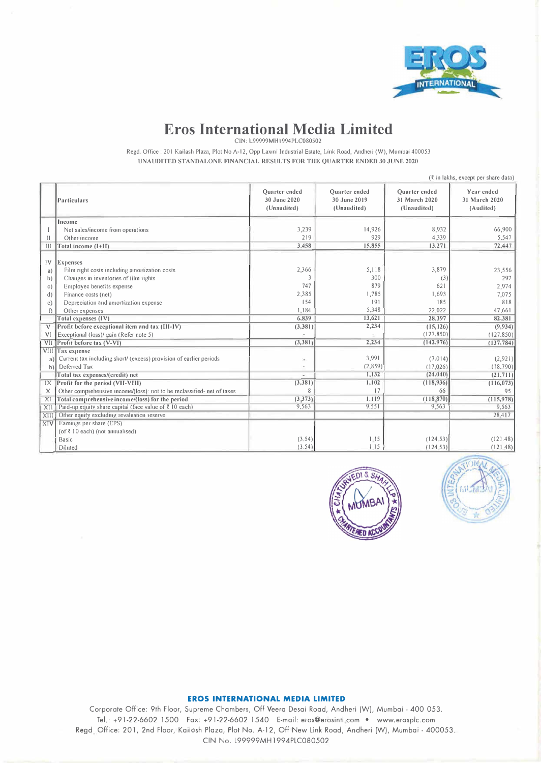

# **Eros International Media Limited**

CIN: L99999MHl994PLC080502

Regd. Office : 201 Kailash Plaza, Plot No A-12, Opp Laxmi Industrial Estate, Link Road, Andheri (W), Mumbai 400053 UNAUDITED STANDALONE FINANCIAL RESULTS FOR THE QUARTER ENDED 30 JUNE 2020

|                                                               | (₹ in lakhs, except per share data)                                                                                                                                                                                                                                                         |                                                           |                                                                 |                                                                      |                                                            |
|---------------------------------------------------------------|---------------------------------------------------------------------------------------------------------------------------------------------------------------------------------------------------------------------------------------------------------------------------------------------|-----------------------------------------------------------|-----------------------------------------------------------------|----------------------------------------------------------------------|------------------------------------------------------------|
|                                                               | Particulars                                                                                                                                                                                                                                                                                 | <b>Ouarter</b> ended<br>30 June 2020<br>(Unaudited)       | <b>Ouarter</b> ended<br>30 June 2019<br>(Unaudited)             | <b>Ouarter</b> ended<br>31 March 2020<br>(Unaudited)                 | Year ended<br>31 March 2020<br>(Audited)                   |
|                                                               | Income                                                                                                                                                                                                                                                                                      |                                                           |                                                                 |                                                                      |                                                            |
|                                                               | Net sales/income from operations                                                                                                                                                                                                                                                            | 3,239                                                     | 14,926                                                          | 8,932                                                                | 66,900                                                     |
| П                                                             | Other income                                                                                                                                                                                                                                                                                | 219                                                       | 929                                                             | 4,339                                                                | 5,547                                                      |
| $\mathbb{H}$                                                  | Total income (I+II)                                                                                                                                                                                                                                                                         | 3,458                                                     | 15,855                                                          | 13,271                                                               | 72,447                                                     |
| 1V<br>a)<br>b)<br>$\circ$ )<br>d)<br>e)<br>f)<br>$\mathsf{V}$ | Expenses<br>Film right costs including amortization costs<br>Changes in inventories of film rights<br>Employee benefits expense<br>Finance costs (net)<br>Depreciation and amortization expense<br>Other expenses<br>Total expenses (IV)<br>Profit before exceptional item and tax (III-IV) | 2,366<br>747<br>2,385<br>154<br>1,184<br>6,839<br>(3,381) | 5,118<br>300<br>879<br>1,785<br> 91<br>5,348<br>13,621<br>2,234 | 3,879<br>(3)<br>621<br>1,693<br>185<br>22,022<br>28.397<br>(15, 126) | 23,556<br>297<br>2,974<br>7,075<br>818<br>47,661<br>82,381 |
| VI                                                            |                                                                                                                                                                                                                                                                                             |                                                           |                                                                 | (127, 850)                                                           | (9, 934)                                                   |
| VII                                                           | Exceptional (loss)/ gain (Refer note 5)<br>Profit before tax (V-VI)                                                                                                                                                                                                                         | (3,381)                                                   | 2.234                                                           | (142, 976)                                                           | (127, 850)<br>(137, 784)                                   |
| VIII                                                          | Tax expense                                                                                                                                                                                                                                                                                 |                                                           |                                                                 |                                                                      |                                                            |
| a)                                                            | Current tax including short/ (excess) provision of earlier periods                                                                                                                                                                                                                          | $\sim$                                                    | 3,991                                                           | (7, 014)                                                             | (2,921)                                                    |
| b)                                                            | Deferred Tax                                                                                                                                                                                                                                                                                |                                                           | (2,859)                                                         | (17.026)                                                             | (18,790)                                                   |
|                                                               | Total tax expenses/(credit) net                                                                                                                                                                                                                                                             |                                                           | 1,132                                                           | (24.040)                                                             | (21, 711)                                                  |
| 1X                                                            | Profit for the period (VII-VIII)                                                                                                                                                                                                                                                            | (3, 381)                                                  | 1,102                                                           | (118, 936)                                                           | (116, 073)                                                 |
| $\boldsymbol{\mathsf{X}}$                                     | Other comprehensive income/(loss): not to be reclassified- net of taxes                                                                                                                                                                                                                     | 8                                                         | 17                                                              | 66                                                                   | 95                                                         |
| XI                                                            | Total comprehensive income/(loss) for the period                                                                                                                                                                                                                                            | (3, 373)                                                  | 1,119                                                           | (118, 870)                                                           | (115,978)                                                  |
| XII                                                           | Paid-up equity share capital (face value of ₹ 10 each)                                                                                                                                                                                                                                      | 9,563                                                     | 9,551                                                           | 9,563                                                                | 9,563                                                      |
| XIII                                                          | Other equity excluding revaluation reserve                                                                                                                                                                                                                                                  |                                                           |                                                                 |                                                                      | 28,417                                                     |
| XIV                                                           | Earnings per share (EPS)<br>(of $\bar{x}$ 10 each) (not annualised)<br><b>Basic</b><br>Diluted                                                                                                                                                                                              | (3, 54)<br>(3.54)                                         | 1.15<br>1.15                                                    | (124.53)<br>(124.53)                                                 | (121.48)<br>(121.48)                                       |
|                                                               |                                                                                                                                                                                                                                                                                             |                                                           |                                                                 |                                                                      |                                                            |





## **EROS INTERNATIONAL MEDIA LIMITED**

Corporate Office: 9th Floor, Supreme Chambers, Off Veera Desai Road, Andheri (W), Mumbai - 400 053. Tel.: +91-22-6602 1500 Fax: +91-22-6602 1540 E-mail: eros@erosintl com • www.erosplc.com Regd Office: 201, 2nd Floor, Kailosh Plaza, Plot No. A-12, Off New Link Road, Andheri (W), Mumbai - 400053. CIN No. L99999MH1994PLC080502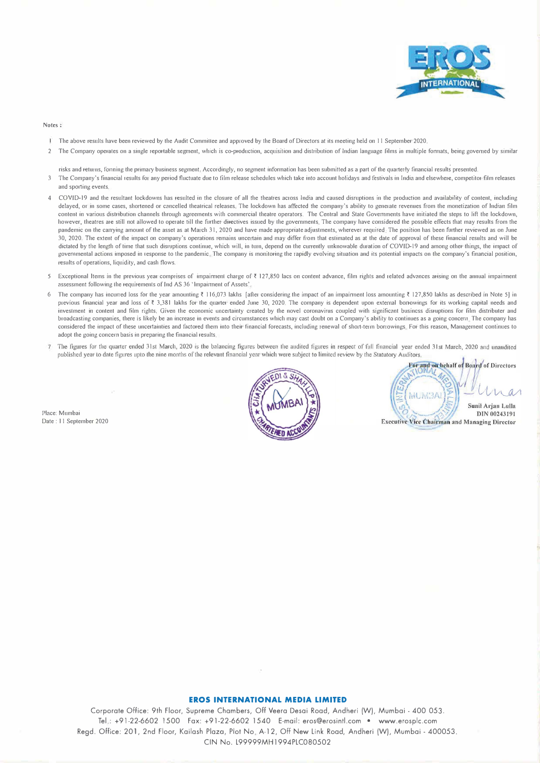

#### **Notes:**

- The above results have been reviewed by the Audit Committee and approved by the Board of Directors at its meeting held on 11 September 2020.
- 2 The Company operates on a single reportable segment, which is co-production, acquisition and distribution of Indian language films in multiple formats, being governed by similar

risks and returns, forming the primary business segment. Accordingly, no segment information has been submitted as a part of the quarterly financial results presented.

- 3 The Company's financial results for any period fluctuate due to film release schedules which take into account holidays and festivals in India and elsewhere, competitor film releases and sporting events
- 4 COVID-19 and the resultant lockdowns has resulted in the closure of all the theatres across India and caused disruptions in the production and availability of content, including delayed, or in some cases, shortened or cancelled theatrical releases. The lockdown has affected the company's ability to generate revenues from the monetization of Indian film content in various distribution channels through agreements with commercial theatre operators. The Central and State Governments have initiated the steps to lift the lockdown, however, theatres are still not allowed to operate till the further directives issued by the governments. The company have considered the possible effects that may results from the pandemic on the canying amount of the asset as at March 31, 2020 and have made appropriate adjustments, wherever required. The position has been further reviewed as on June 30, 2020. The extent of the impact on company's operations remains uncertain and may differ from that estimated as at the date of approval of these financial results and will be dictated by the length of time that such disnuptions continue, which will, in turn, depend on the currently unknowable duration of COVID-19 and among other things, the impact of governmental actions imposed in response to the pandemic. The company is monitoring the rapidly evolving situation and its potential impacts on the company's financial position, results of operations, liquidity, and cash flows.
- 5 Exceptional Items in the previous year comprises of impainment charge of ₹ 127,850 lacs on content advance, film rights and related advances arising on the annual impainment assessment following the requirements of Ind AS 36 'lmpainnent of Assets'
- 6 The company has incurred loss for the year amounting  $\bar{\zeta}$  116,073 lakhs [after considering the impact of an impairment loss amounting  $\bar{\zeta}$  127,850 lakhs as described in Note 5) in previous financial year and loss of ₹ 3,381 lakhs for the quarter ended June 30, 2020. The company is dependent upon external borrowings for its working capital needs and investment in content and film rights. Given the economic uncertainty created by the novel coronavirus coupled with significant business disruptions for film distributer and broadcasting companies, there is likely be an increase in events and circumstances which may cast doubt on a Company's ability to continues as a going concern. The company has considered the impact of these uncertainties and factored them into their financial forecasts, including renewal of short-term borrowings For this reason, Management continues to adopt the going concern basis in preparing the financial results,
- The figures for the quarter ended 31st March, 2020 is the balancing figures between the audited figures in respect of full financial year ended 31st March, 2020 and unaudited published year to date figures upto the nine months of the relevant financial year which were subject to limited review by the Statutory Auditors

Place: Mumbai Date : 11 September 2020



For and on behalf of Board of Directors AFRAL IM Sunil Arjan Lulla DIN 00243191 **Executive Vice Chairman and Managing Director** 

## **EROS INTERNATIONAL MEDIA LIMITED**

Corporate Office: 9th Floor, Supreme Chambers, Off Veera Desai Road, Andheri (W), Mumbai - 400 053. Tel.: +91-22-6602 1500 Fax: +91-22-6602 1540 E-mail: eros@erosintl.com • www.erosplc.com Regd. Office: 201, 2nd Floor, Kailash Plaza, Plot No. A-12, Off New Link Road, Andheri (W), Mumbai - 400053. CIN No. L99999MH1994PLC080502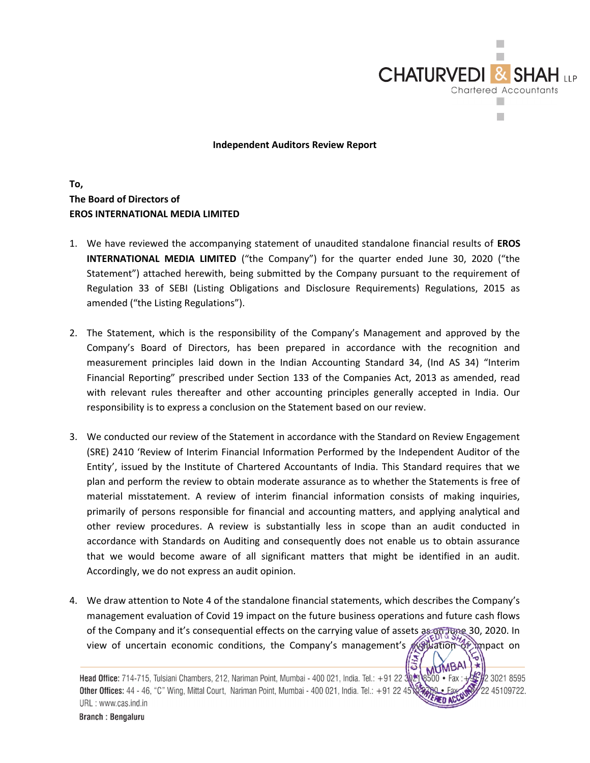

Independent Auditors Review Report

# To, The Board of Directors of EROS INTERNATIONAL MEDIA LIMITED

- 1. We have reviewed the accompanying statement of unaudited standalone financial results of EROS INTERNATIONAL MEDIA LIMITED ("the Company") for the quarter ended June 30, 2020 ("the Statement") attached herewith, being submitted by the Company pursuant to the requirement of Regulation 33 of SEBI (Listing Obligations and Disclosure Requirements) Regulations, 2015 as amended ("the Listing Regulations").
- 2. The Statement, which is the responsibility of the Company's Management and approved by the Company's Board of Directors, has been prepared in accordance with the recognition and measurement principles laid down in the Indian Accounting Standard 34, (Ind AS 34) "Interim Financial Reporting" prescribed under Section 133 of the Companies Act, 2013 as amended, read with relevant rules thereafter and other accounting principles generally accepted in India. Our responsibility is to express a conclusion on the Statement based on our review.
- 3. We conducted our review of the Statement in accordance with the Standard on Review Engagement (SRE) 2410 'Review of Interim Financial Information Performed by the Independent Auditor of the Entity', issued by the Institute of Chartered Accountants of India. This Standard requires that we plan and perform the review to obtain moderate assurance as to whether the Statements is free of material misstatement. A review of interim financial information consists of making inquiries, primarily of persons responsible for financial and accounting matters, and applying analytical and other review procedures. A review is substantially less in scope than an audit conducted in accordance with Standards on Auditing and consequently does not enable us to obtain assurance that we would become aware of all significant matters that might be identified in an audit. Accordingly, we do not express an audit opinion.
- 4. We draw attention to Note 4 of the standalone financial statements, which describes the Company's management evaluation of Covid 19 impact on the future business operations and future cash flows of the Company and it's consequential effects on the carrying value of assets as on June 30, 2020. In view of uncertain economic conditions, the Company's management's evaluation of impact on

Head Office: 714-715, Tulsiani Chambers, 212, Nariman Point, Mumbai - 400 021, India. Tel.: +91 22  $\frac{1}{20}$ 2 3021 8595 Other Offices: 44 - 46, "C" Wing, Mittal Court, Nariman Point, Mumbai - 400 021, India. Tel.: +91 22 4! 22 45109722. URL: www.cas.ind.in